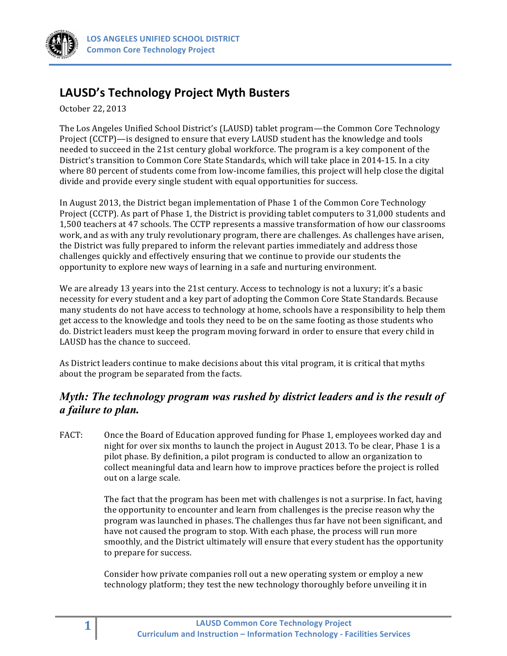

# **LAUSD's Technology Project Myth Busters**

October 22, 2013

The Los Angeles Unified School District's (LAUSD) tablet program—the Common Core Technology Project (CCTP)—is designed to ensure that every LAUSD student has the knowledge and tools needed to succeed in the 21st century global workforce. The program is a key component of the District's transition to Common Core State Standards, which will take place in 2014-15. In a city where 80 percent of students come from low-income families, this project will help close the digital divide and provide every single student with equal opportunities for success.

In August 2013, the District began implementation of Phase 1 of the Common Core Technology Project (CCTP). As part of Phase 1, the District is providing tablet computers to 31,000 students and 1,500 teachers at 47 schools. The CCTP represents a massive transformation of how our classrooms work, and as with any truly revolutionary program, there are challenges. As challenges have arisen, the District was fully prepared to inform the relevant parties immediately and address those challenges quickly and effectively ensuring that we continue to provide our students the opportunity to explore new ways of learning in a safe and nurturing environment.

We are already 13 years into the 21st century. Access to technology is not a luxury; it's a basic necessity for every student and a key part of adopting the Common Core State Standards. Because many students do not have access to technology at home, schools have a responsibility to help them get access to the knowledge and tools they need to be on the same footing as those students who do. District leaders must keep the program moving forward in order to ensure that every child in LAUSD has the chance to succeed.

As District leaders continue to make decisions about this vital program, it is critical that myths about the program be separated from the facts.

## *Myth: The technology program was rushed by district leaders and is the result of a failure to plan.*

FACT: Once the Board of Education approved funding for Phase 1, employees worked day and night for over six months to launch the project in August 2013. To be clear, Phase 1 is a pilot phase. By definition, a pilot program is conducted to allow an organization to collect meaningful data and learn how to improve practices before the project is rolled out on a large scale.

> The fact that the program has been met with challenges is not a surprise. In fact, having the opportunity to encounter and learn from challenges is the precise reason why the program was launched in phases. The challenges thus far have not been significant, and have not caused the program to stop. With each phase, the process will run more smoothly, and the District ultimately will ensure that every student has the opportunity to prepare for success.

Consider how private companies roll out a new operating system or employ a new technology platform; they test the new technology thoroughly before unveiling it in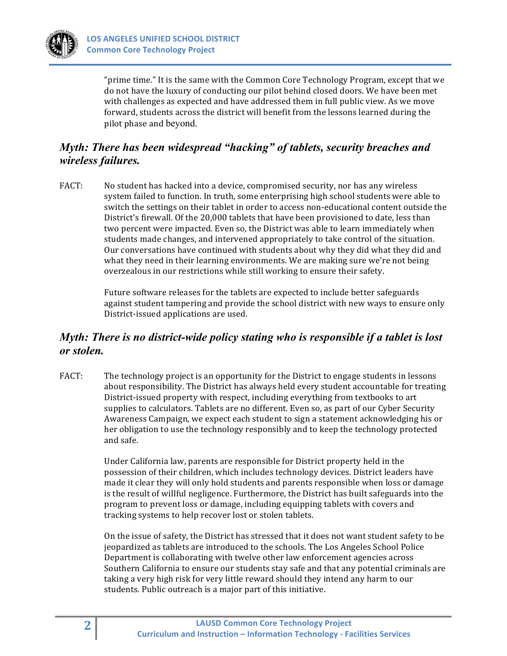

"prime time." It is the same with the Common Core Technology Program, except that we do not have the luxury of conducting our pilot behind closed doors. We have been met with challenges as expected and have addressed them in full public view. As we move forward, students across the district will benefit from the lessons learned during the pilot phase and beyond.

## *Myth: There has been widespread "hacking" of tablets, security breaches and wireless failures.*

FACT: No student has hacked into a device, compromised security, nor has any wireless system failed to function. In truth, some enterprising high school students were able to switch the settings on their tablet in order to access non-educational content outside the District's firewall. Of the 20,000 tablets that have been provisioned to date, less than two percent were impacted. Even so, the District was able to learn immediately when students made changes, and intervened appropriately to take control of the situation. Our conversations have continued with students about why they did what they did and what they need in their learning environments. We are making sure we're not being overzealous in our restrictions while still working to ensure their safety.

> Future software releases for the tablets are expected to include better safeguards against student tampering and provide the school district with new ways to ensure only District-issued applications are used.

## *Myth: There is no district-wide policy stating who is responsible if a tablet is lost or stolen.*

FACT: The technology project is an opportunity for the District to engage students in lessons about responsibility. The District has always held every student accountable for treating District-issued property with respect, including everything from textbooks to art supplies to calculators. Tablets are no different. Even so, as part of our Cyber Security Awareness Campaign, we expect each student to sign a statement acknowledging his or her obligation to use the technology responsibly and to keep the technology protected and safe.

> Under California law, parents are responsible for District property held in the possession of their children, which includes technology devices. District leaders have made it clear they will only hold students and parents responsible when loss or damage is the result of willful negligence. Furthermore, the District has built safeguards into the program to prevent loss or damage, including equipping tablets with covers and tracking systems to help recover lost or stolen tablets.

> On the issue of safety, the District has stressed that it does not want student safety to be jeopardized as tablets are introduced to the schools. The Los Angeles School Police Department is collaborating with twelve other law enforcement agencies across Southern California to ensure our students stay safe and that any potential criminals are taking a very high risk for very little reward should they intend any harm to our students. Public outreach is a major part of this initiative.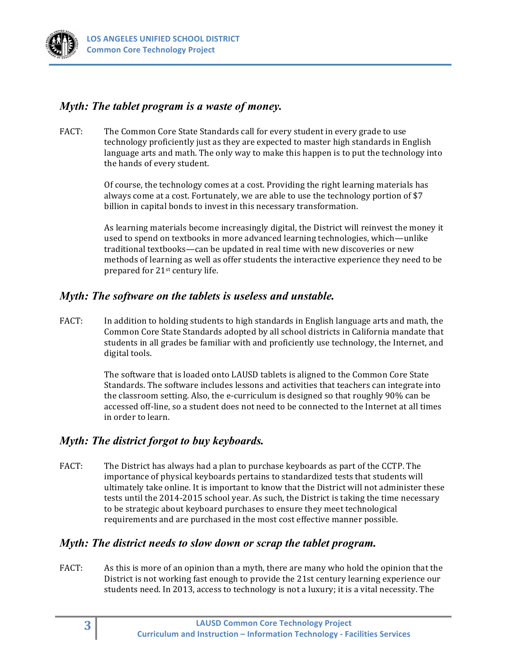## *Myth: The tablet program is a waste of money.*

FACT: The Common Core State Standards call for every student in every grade to use technology proficiently just as they are expected to master high standards in English language arts and math. The only way to make this happen is to put the technology into the hands of every student.

> Of course, the technology comes at a cost. Providing the right learning materials has always come at a cost. Fortunately, we are able to use the technology portion of \$7 billion in capital bonds to invest in this necessary transformation.

As learning materials become increasingly digital, the District will reinvest the money it used to spend on textbooks in more advanced learning technologies, which—unlike traditional textbooks—can be updated in real time with new discoveries or new methods of learning as well as offer students the interactive experience they need to be prepared for 21<sup>st</sup> century life.

#### *Myth: The software on the tablets is useless and unstable.*

FACT: In addition to holding students to high standards in English language arts and math, the Common Core State Standards adopted by all school districts in California mandate that students in all grades be familiar with and proficiently use technology, the Internet, and digital tools.

> The software that is loaded onto LAUSD tablets is aligned to the Common Core State Standards. The software includes lessons and activities that teachers can integrate into the classroom setting. Also, the e-curriculum is designed so that roughly 90% can be accessed off-line, so a student does not need to be connected to the Internet at all times in order to learn.

#### *Myth: The district forgot to buy keyboards.*

FACT: The District has always had a plan to purchase keyboards as part of the CCTP. The importance of physical keyboards pertains to standardized tests that students will ultimately take online. It is important to know that the District will not administer these tests until the 2014-2015 school year. As such, the District is taking the time necessary to be strategic about keyboard purchases to ensure they meet technological requirements and are purchased in the most cost effective manner possible.

#### *Myth: The district needs to slow down or scrap the tablet program.*

FACT: As this is more of an opinion than a myth, there are many who hold the opinion that the District is not working fast enough to provide the 21st century learning experience our students need. In 2013, access to technology is not a luxury; it is a vital necessity. The